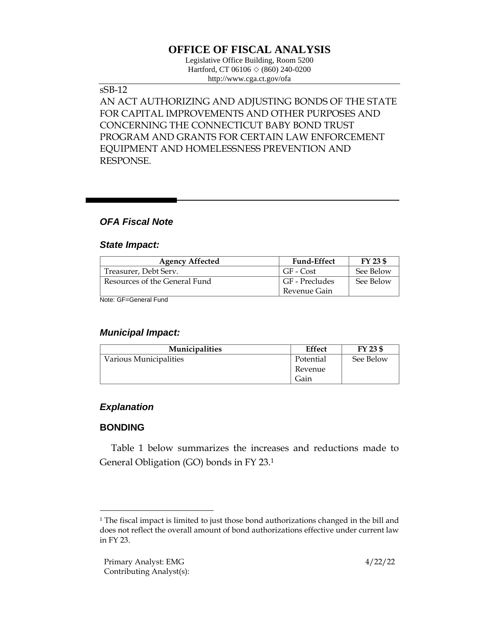# **OFFICE OF FISCAL ANALYSIS**

Legislative Office Building, Room 5200 Hartford, CT 06106  $\Diamond$  (860) 240-0200 http://www.cga.ct.gov/ofa

#### sSB-12

AN ACT AUTHORIZING AND ADJUSTING BONDS OF THE STATE FOR CAPITAL IMPROVEMENTS AND OTHER PURPOSES AND CONCERNING THE CONNECTICUT BABY BOND TRUST PROGRAM AND GRANTS FOR CERTAIN LAW ENFORCEMENT EQUIPMENT AND HOMELESSNESS PREVENTION AND RESPONSE.

### *OFA Fiscal Note*

#### *State Impact:*

| <b>Agency Affected</b>        | <b>Fund-Effect</b> | FY 23 \$  |
|-------------------------------|--------------------|-----------|
| Treasurer, Debt Serv.         | GF - Cost          | See Below |
| Resources of the General Fund | GF - Precludes     | See Below |
|                               | Revenue Gain       |           |

Note: GF=General Fund

#### *Municipal Impact:*

| <b>Municipalities</b>  | <b>Effect</b> | FY 23 \$  |
|------------------------|---------------|-----------|
| Various Municipalities | Potential     | See Below |
|                        | Revenue       |           |
|                        | Gain          |           |

### *Explanation*

### **BONDING**

Table 1 below summarizes the increases and reductions made to General Obligation (GO) bonds in FY 23. 1

<sup>1</sup> The fiscal impact is limited to just those bond authorizations changed in the bill and does not reflect the overall amount of bond authorizations effective under current law in FY 23.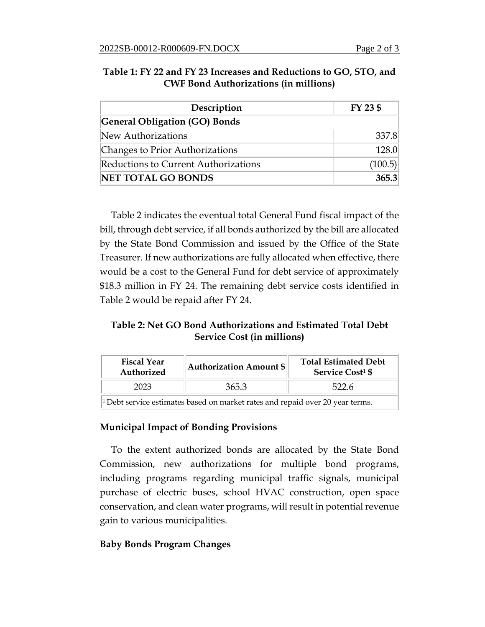| Description                                 | FY 23 \$ |
|---------------------------------------------|----------|
| <b>General Obligation (GO) Bonds</b>        |          |
| New Authorizations                          | 337.8    |
| Changes to Prior Authorizations             | 128.0    |
| <b>Reductions to Current Authorizations</b> | (100.5)  |
| <b>NET TOTAL GO BONDS</b>                   | 365.3    |

#### **Table 1: FY 22 and FY 23 Increases and Reductions to GO, STO, and CWF Bond Authorizations (in millions)**

Table 2 indicates the eventual total General Fund fiscal impact of the bill, through debt service, if all bonds authorized by the bill are allocated by the State Bond Commission and issued by the Office of the State Treasurer. If new authorizations are fully allocated when effective, there would be a cost to the General Fund for debt service of approximately \$18.3 million in FY 24. The remaining debt service costs identified in Table 2 would be repaid after FY 24.

## **Table 2: Net GO Bond Authorizations and Estimated Total Debt Service Cost (in millions)**

| <b>Fiscal Year</b><br>Authorized                                                         | <b>Authorization Amount \$</b> | <b>Total Estimated Debt</b><br><b>Service Cost<sup>1</sup> \$</b> |  |  |
|------------------------------------------------------------------------------------------|--------------------------------|-------------------------------------------------------------------|--|--|
| 2023                                                                                     | 365.3                          | 522.6                                                             |  |  |
| <sup>1</sup> Debt service estimates based on market rates and repaid over 20 year terms. |                                |                                                                   |  |  |

### **Municipal Impact of Bonding Provisions**

To the extent authorized bonds are allocated by the State Bond Commission, new authorizations for multiple bond programs, including programs regarding municipal traffic signals, municipal purchase of electric buses, school HVAC construction, open space conservation, and clean water programs, will result in potential revenue gain to various municipalities.

### **Baby Bonds Program Changes**